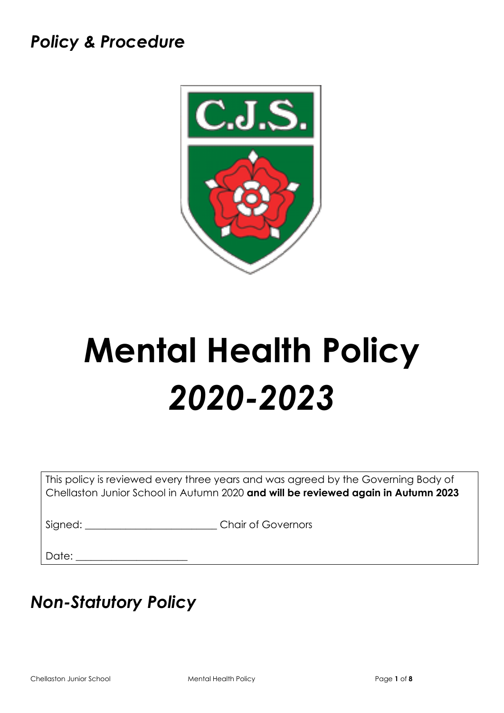# *Policy & Procedure*



# **Mental Health Policy** *2020-2023*

This policy is reviewed every three years and was agreed by the Governing Body of Chellaston Junior School in Autumn 2020 **and will be reviewed again in Autumn 2023**

Signed:  $\Box$  Chair of Governors

Date:

# *Non-Statutory Policy*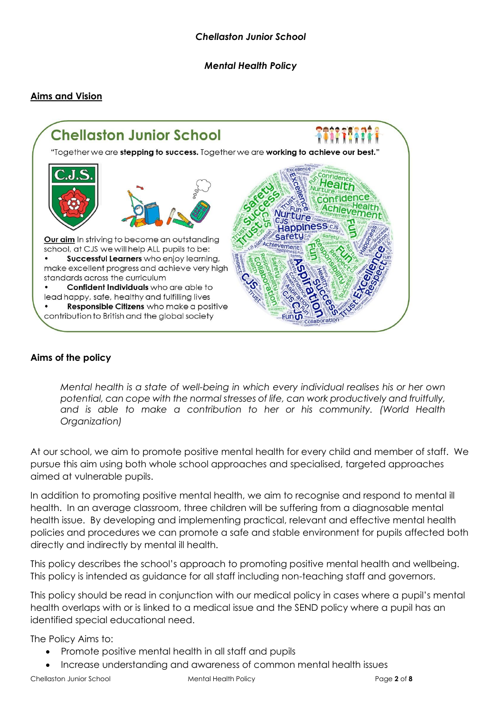*Mental Health Policy* 

## **Aims and Vision**



#### **Aims of the policy**

*Mental health is a state of well-being in which every individual realises his or her own potential, can cope with the normal stresses of life, can work productively and fruitfully, and is able to make a contribution to her or his community. (World Health Organization)*

At our school, we aim to promote positive mental health for every child and member of staff. We pursue this aim using both whole school approaches and specialised, targeted approaches aimed at vulnerable pupils.

In addition to promoting positive mental health, we aim to recognise and respond to mental ill health. In an average classroom, three children will be suffering from a diagnosable mental health issue. By developing and implementing practical, relevant and effective mental health policies and procedures we can promote a safe and stable environment for pupils affected both directly and indirectly by mental ill health.

This policy describes the school's approach to promoting positive mental health and wellbeing. This policy is intended as guidance for all staff including non-teaching staff and governors.

This policy should be read in conjunction with our medical policy in cases where a pupil's mental health overlaps with or is linked to a medical issue and the SEND policy where a pupil has an identified special educational need.

The Policy Aims to:

- Promote positive mental health in all staff and pupils
- Increase understanding and awareness of common mental health issues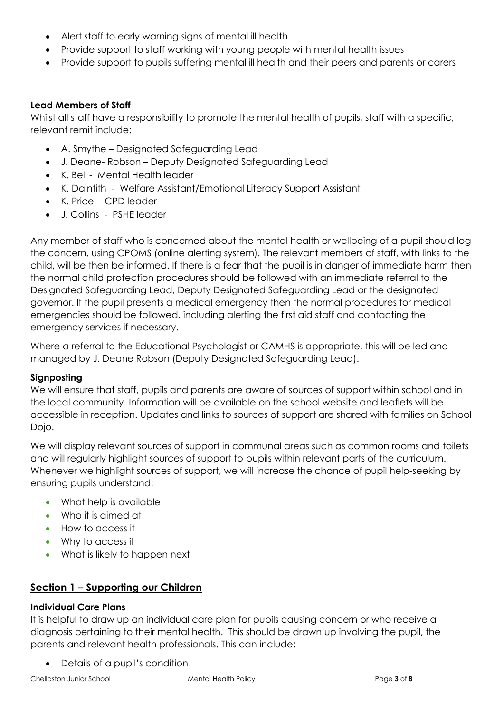- Alert staff to early warning signs of mental ill health
- Provide support to staff working with young people with mental health issues
- Provide support to pupils suffering mental ill health and their peers and parents or carers

### **Lead Members of Staff**

Whilst all staff have a responsibility to promote the mental health of pupils, staff with a specific, relevant remit include:

- A. Smythe Designated Safeguarding Lead
- J. Deane- Robson Deputy Designated Safeguarding Lead
- K. Bell Mental Health leader
- K. Daintith Welfare Assistant/Emotional Literacy Support Assistant
- K. Price CPD leader
- J. Collins PSHE leader

Any member of staff who is concerned about the mental health or wellbeing of a pupil should log the concern, using CPOMS (online alerting system). The relevant members of staff, with links to the child, will be then be informed. If there is a fear that the pupil is in danger of immediate harm then the normal child protection procedures should be followed with an immediate referral to the Designated Safeguarding Lead, Deputy Designated Safeguarding Lead or the designated governor. If the pupil presents a medical emergency then the normal procedures for medical emergencies should be followed, including alerting the first aid staff and contacting the emergency services if necessary.

Where a referral to the Educational Psychologist or CAMHS is appropriate, this will be led and managed by J. Deane Robson (Deputy Designated Safeguarding Lead).

# **Signposting**

We will ensure that staff, pupils and parents are aware of sources of support within school and in the local community. Information will be available on the school website and leaflets will be accessible in reception. Updates and links to sources of support are shared with families on School Dojo.

We will display relevant sources of support in communal areas such as common rooms and toilets and will regularly highlight sources of support to pupils within relevant parts of the curriculum. Whenever we highlight sources of support, we will increase the chance of pupil help-seeking by ensuring pupils understand:

- What help is available
- Who it is aimed at
- How to access it
- Why to access it
- What is likely to happen next

# **Section 1 – Supporting our Children**

# **Individual Care Plans**

It is helpful to draw up an individual care plan for pupils causing concern or who receive a diagnosis pertaining to their mental health. This should be drawn up involving the pupil, the parents and relevant health professionals. This can include:

• Details of a pupil's condition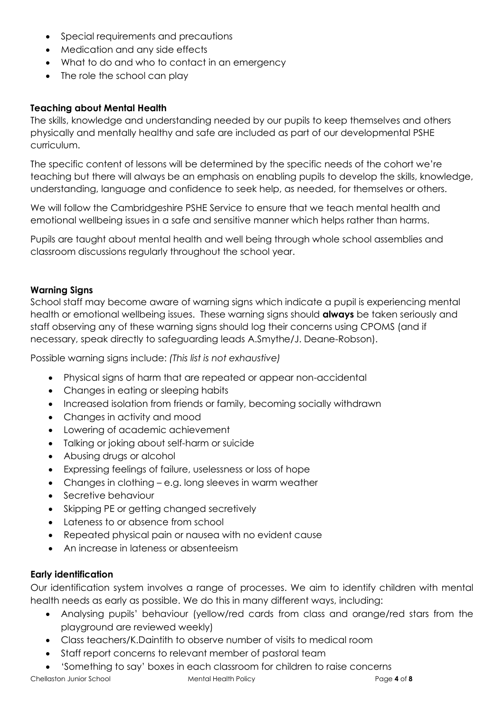- Special requirements and precautions
- Medication and any side effects
- What to do and who to contact in an emergency
- The role the school can play

#### **Teaching about Mental Health**

The skills, knowledge and understanding needed by our pupils to keep themselves and others physically and mentally healthy and safe are included as part of our developmental PSHE curriculum.

The specific content of lessons will be determined by the specific needs of the cohort we're teaching but there will always be an emphasis on enabling pupils to develop the skills, knowledge, understanding, language and confidence to seek help, as needed, for themselves or others.

We will follow the Cambridgeshire PSHE Service to ensure that we teach mental health and emotional wellbeing issues in a safe and sensitive manner which helps rather than harms.

Pupils are taught about mental health and well being through whole school assemblies and classroom discussions regularly throughout the school year.

#### **Warning Signs**

School staff may become aware of warning signs which indicate a pupil is experiencing mental health or emotional wellbeing issues. These warning signs should **always** be taken seriously and staff observing any of these warning signs should log their concerns using CPOMS (and if necessary, speak directly to safeguarding leads A.Smythe/J. Deane-Robson).

Possible warning signs include: *(This list is not exhaustive)*

- Physical signs of harm that are repeated or appear non-accidental
- Changes in eating or sleeping habits
- Increased isolation from friends or family, becoming socially withdrawn
- Changes in activity and mood
- Lowering of academic achievement
- Talking or joking about self-harm or suicide
- Abusing drugs or alcohol
- Expressing feelings of failure, uselessness or loss of hope
- Changes in clothing e.g. long sleeves in warm weather
- Secretive behaviour
- Skipping PE or getting changed secretively
- Lateness to or absence from school
- Repeated physical pain or nausea with no evident cause
- An increase in lateness or absenteeism

#### **Early identification**

Our identification system involves a range of processes. We aim to identify children with mental health needs as early as possible. We do this in many different ways, including:

- Analysing pupils' behaviour (yellow/red cards from class and orange/red stars from the playground are reviewed weekly)
- Class teachers/K.Daintith to observe number of visits to medical room
- Staff report concerns to relevant member of pastoral team
- Chellaston Junior School Mental Health Policy Page **4** of **8** • 'Something to say' boxes in each classroom for children to raise concerns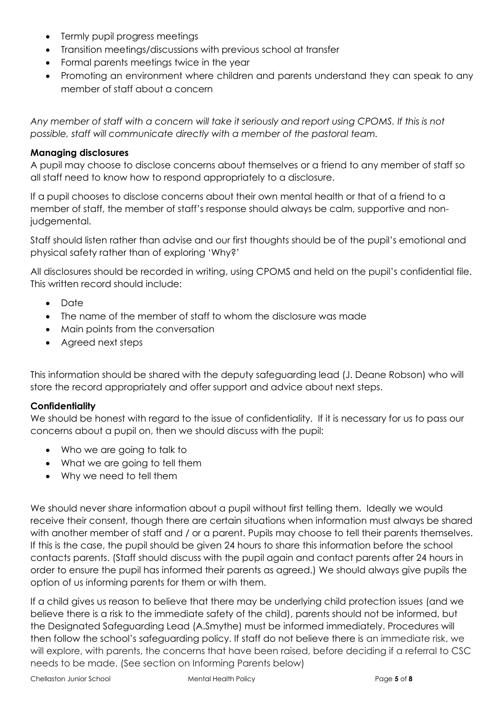- Termly pupil progress meetings
- Transition meetings/discussions with previous school at transfer
- Formal parents meetings twice in the year
- Promoting an environment where children and parents understand they can speak to any member of staff about a concern

*Any member of staff with a concern will take it seriously and report using CPOMS. If this is not possible, staff will communicate directly with a member of the pastoral team.* 

#### **Managing disclosures**

A pupil may choose to disclose concerns about themselves or a friend to any member of staff so all staff need to know how to respond appropriately to a disclosure.

If a pupil chooses to disclose concerns about their own mental health or that of a friend to a member of staff, the member of staff's response should always be calm, supportive and nonjudgemental.

Staff should listen rather than advise and our first thoughts should be of the pupil's emotional and physical safety rather than of exploring 'Why?'

All disclosures should be recorded in writing, using CPOMS and held on the pupil's confidential file. This written record should include:

- Date
- The name of the member of staff to whom the disclosure was made
- Main points from the conversation
- Agreed next steps

This information should be shared with the deputy safeguarding lead (J. Deane Robson) who will store the record appropriately and offer support and advice about next steps.

#### **Confidentiality**

We should be honest with regard to the issue of confidentiality. If it is necessary for us to pass our concerns about a pupil on, then we should discuss with the pupil:

- Who we are going to talk to
- What we are going to tell them
- Why we need to tell them

We should never share information about a pupil without first telling them. Ideally we would receive their consent, though there are certain situations when information must always be shared with another member of staff and / or a parent. Pupils may choose to tell their parents themselves. If this is the case, the pupil should be given 24 hours to share this information before the school contacts parents. (Staff should discuss with the pupil again and contact parents after 24 hours in order to ensure the pupil has informed their parents as agreed.) We should always give pupils the option of us informing parents for them or with them.

If a child gives us reason to believe that there may be underlying child protection issues (and we believe there is a risk to the immediate safety of the child), parents should not be informed, but the Designated Safeguarding Lead (A.Smythe) must be informed immediately. Procedures will then follow the school's safeguarding policy. If staff do not believe there is an immediate risk, we will explore, with parents, the concerns that have been raised, before deciding if a referral to CSC needs to be made. (See section on Informing Parents below)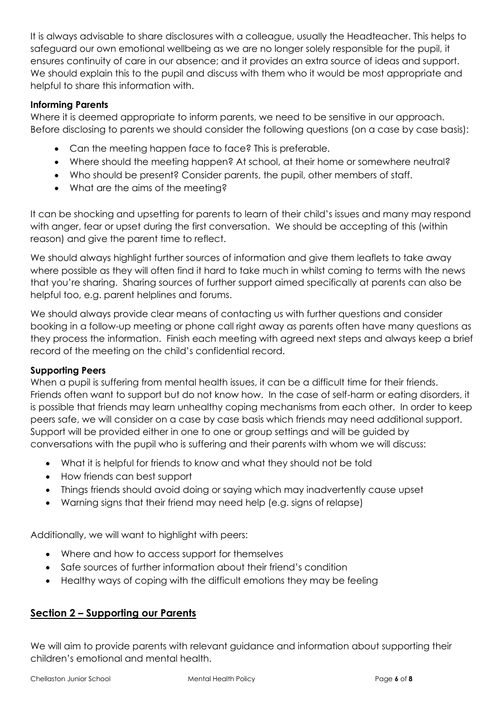It is always advisable to share disclosures with a colleague, usually the Headteacher. This helps to safeguard our own emotional wellbeing as we are no longer solely responsible for the pupil, it ensures continuity of care in our absence; and it provides an extra source of ideas and support. We should explain this to the pupil and discuss with them who it would be most appropriate and helpful to share this information with.

#### **Informing Parents**

Where it is deemed appropriate to inform parents, we need to be sensitive in our approach. Before disclosing to parents we should consider the following questions (on a case by case basis):

- Can the meeting happen face to face? This is preferable.
- Where should the meeting happen? At school, at their home or somewhere neutral?
- Who should be present? Consider parents, the pupil, other members of staff.
- What are the aims of the meeting?

It can be shocking and upsetting for parents to learn of their child's issues and many may respond with anger, fear or upset during the first conversation. We should be accepting of this (within reason) and give the parent time to reflect.

We should always highlight further sources of information and give them leaflets to take away where possible as they will often find it hard to take much in whilst coming to terms with the news that you're sharing. Sharing sources of further support aimed specifically at parents can also be helpful too, e.g. parent helplines and forums.

We should always provide clear means of contacting us with further questions and consider booking in a follow-up meeting or phone call right away as parents often have many questions as they process the information. Finish each meeting with agreed next steps and always keep a brief record of the meeting on the child's confidential record.

# **Supporting Peers**

When a pupil is suffering from mental health issues, it can be a difficult time for their friends. Friends often want to support but do not know how. In the case of self-harm or eating disorders, it is possible that friends may learn unhealthy coping mechanisms from each other. In order to keep peers safe, we will consider on a case by case basis which friends may need additional support. Support will be provided either in one to one or group settings and will be guided by conversations with the pupil who is suffering and their parents with whom we will discuss:

- What it is helpful for friends to know and what they should not be told
- How friends can best support
- Things friends should avoid doing or saying which may inadvertently cause upset
- Warning signs that their friend may need help (e.g. signs of relapse)

Additionally, we will want to highlight with peers:

- Where and how to access support for themselves
- Safe sources of further information about their friend's condition
- Healthy ways of coping with the difficult emotions they may be feeling

# **Section 2 – Supporting our Parents**

We will aim to provide parents with relevant guidance and information about supporting their children's emotional and mental health.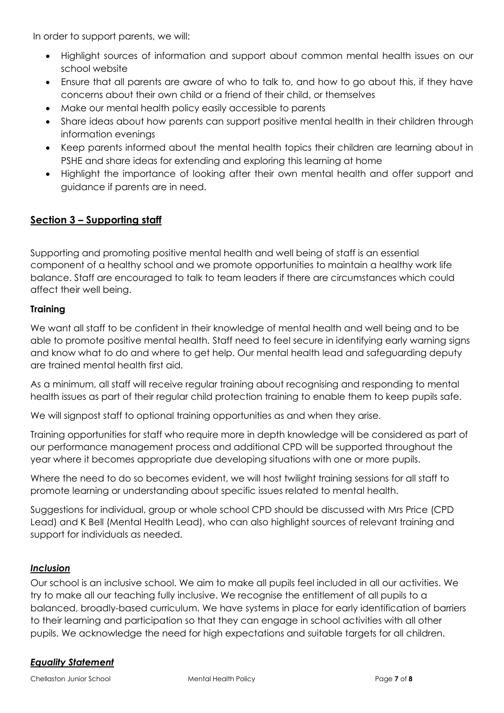In order to support parents, we will:

- Highlight sources of information and support about common mental health issues on our school website
- Ensure that all parents are aware of who to talk to, and how to go about this, if they have concerns about their own child or a friend of their child, or themselves
- Make our mental health policy easily accessible to parents
- Share ideas about how parents can support positive mental health in their children through information evenings
- Keep parents informed about the mental health topics their children are learning about in PSHE and share ideas for extending and exploring this learning at home
- Highlight the importance of looking after their own mental health and offer support and guidance if parents are in need.

# **Section 3 – Supporting staff**

Supporting and promoting positive mental health and well being of staff is an essential component of a healthy school and we promote opportunities to maintain a healthy work life balance. Staff are encouraged to talk to team leaders if there are circumstances which could affect their well being.

#### **Training**

We want all staff to be confident in their knowledge of mental health and well being and to be able to promote positive mental health. Staff need to feel secure in identifying early warning signs and know what to do and where to get help. Our mental health lead and safeguarding deputy are trained mental health first aid.

As a minimum, all staff will receive regular training about recognising and responding to mental health issues as part of their regular child protection training to enable them to keep pupils safe.

We will signpost staff to optional training opportunities as and when they arise.

Training opportunities for staff who require more in depth knowledge will be considered as part of our performance management process and additional CPD will be supported throughout the year where it becomes appropriate due developing situations with one or more pupils.

Where the need to do so becomes evident, we will host twilight training sessions for all staff to promote learning or understanding about specific issues related to mental health.

Suggestions for individual, group or whole school CPD should be discussed with Mrs Price (CPD Lead) and K Bell (Mental Health Lead), who can also highlight sources of relevant training and support for individuals as needed.

#### *Inclusion*

Our school is an inclusive school. We aim to make all pupils feel included in all our activities. We try to make all our teaching fully inclusive. We recognise the entitlement of all pupils to a balanced, broadly-based curriculum. We have systems in place for early identification of barriers to their learning and participation so that they can engage in school activities with all other pupils. We acknowledge the need for high expectations and suitable targets for all children.

#### *Equality Statement*